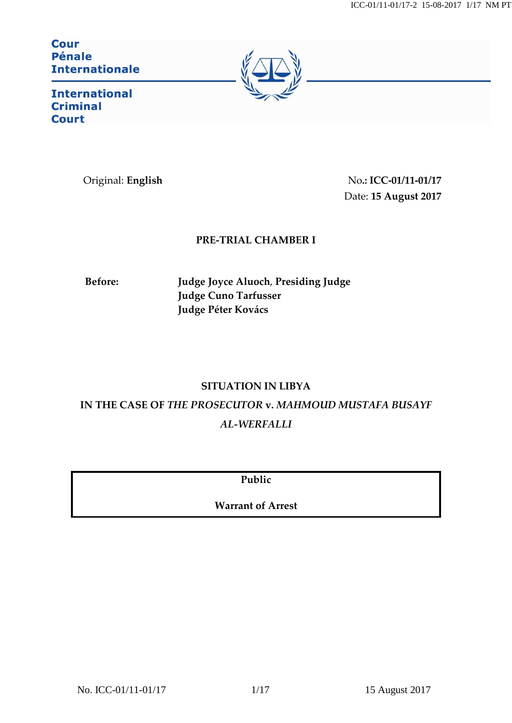ICC-01/11-01/17-2 15-08-2017 1/17 NM PT

**Cour Pénale Internationale** 



**International Criminal Court** 

Original: **English** No**.: ICC-01/11-01/17** Date: **15 August 2017**

# **PRE-TRIAL CHAMBER I**

**Before: Judge Joyce Aluoch**, **Presiding Judge Judge Cuno Tarfusser Judge Péter Kovács**

# **SITUATION IN LIBYA**

**IN THE CASE OF** *THE PROSECUTOR* **v.** *MAHMOUD MUSTAFA BUSAYF AL-WERFALLI*

**Public**

**Warrant of Arrest**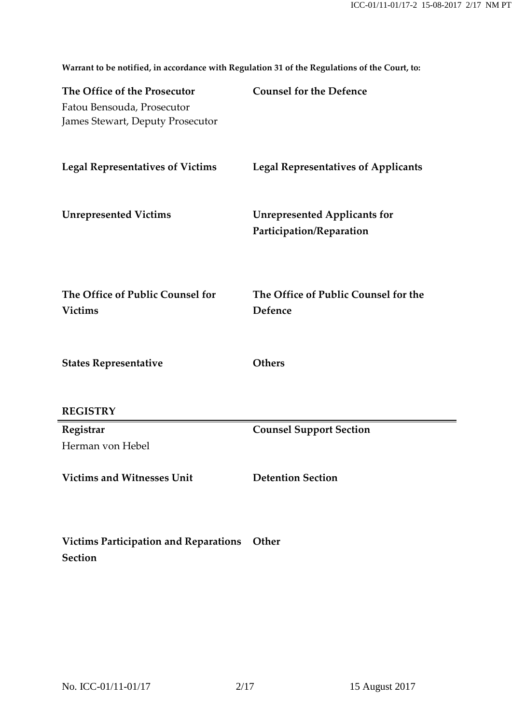**The Office of the Prosecutor** Fatou Bensouda, Prosecutor James Stewart, Deputy Prosecutor **Counsel for the Defence Legal Representatives of Victims Legal Representatives of Applicants Unrepresented Victims Unrepresented Applicants for Participation/Reparation The Office of Public Counsel for Victims The Office of Public Counsel for the Defence States Representative REGISTRY Others Registrar** Herman von Hebel **Counsel Support Section Victims and Witnesses Unit Detention Section Victims Participation and Reparations Other**

**Warrant to be notified, in accordance with Regulation 31 of the Regulations of the Court, to:**

**Section**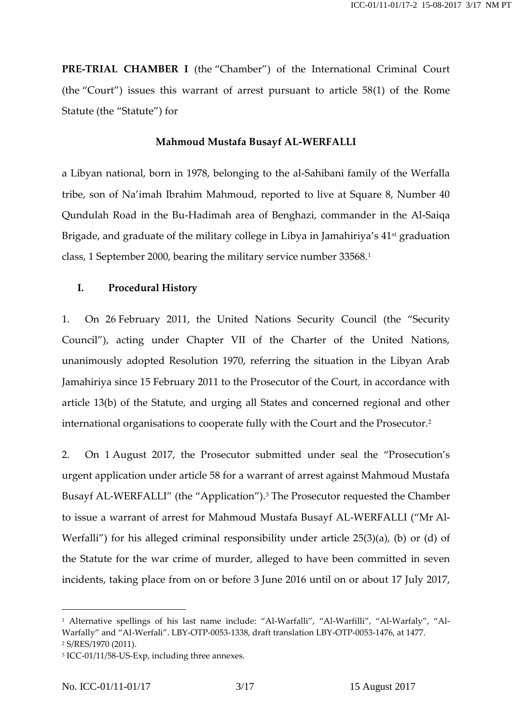**PRE-TRIAL CHAMBER I** (the "Chamber") of the International Criminal Court (the "Court") issues this warrant of arrest pursuant to article 58(1) of the Rome Statute (the "Statute") for

#### **Mahmoud Mustafa Busayf AL-WERFALLI**

a Libyan national, born in 1978, belonging to the al-Sahibani family of the Werfalla tribe, son of Na'imah Ibrahim Mahmoud, reported to live at Square 8, Number 40 Qundulah Road in the Bu-Hadimah area of Benghazi, commander in the Al-Saiqa Brigade, and graduate of the military college in Libya in Jamahiriya's  $41<sup>st</sup>$  graduation class, 1 September 2000, bearing the military service number 33568.<sup>1</sup>

#### **I. Procedural History**

1. On 26 February 2011, the United Nations Security Council (the "Security Council"), acting under Chapter VII of the Charter of the United Nations, unanimously adopted Resolution 1970, referring the situation in the Libyan Arab Jamahiriya since 15 February 2011 to the Prosecutor of the Court, in accordance with article 13(b) of the Statute, and urging all States and concerned regional and other international organisations to cooperate fully with the Court and the Prosecutor.<sup>2</sup>

2. On 1 August 2017, the Prosecutor submitted under seal the "Prosecution's urgent application under article 58 for a warrant of arrest against Mahmoud Mustafa Busayf AL-WERFALLI" (the "Application"). <sup>3</sup> The Prosecutor requested the Chamber to issue a warrant of arrest for Mahmoud Mustafa Busayf AL-WERFALLI ("Mr Al-Werfalli") for his alleged criminal responsibility under article 25(3)(a), (b) or (d) of the Statute for the war crime of murder, alleged to have been committed in seven incidents, taking place from on or before 3 June 2016 until on or about 17 July 2017,

<sup>1</sup> Alternative spellings of his last name include: "Al-Warfalli", "Al-Warfilli", "Al-Warfaly", "Al-Warfally" and "Al-Werfali". LBY-OTP-0053-1338, draft translation LBY-OTP-0053-1476, at 1477. <sup>2</sup> S/RES/1970 (2011).

<sup>3</sup> ICC-01/11/58-US-Exp, including three annexes.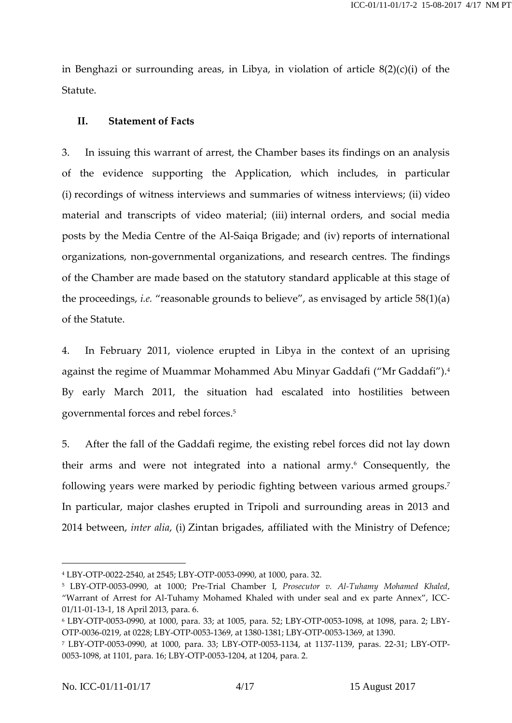in Benghazi or surrounding areas, in Libya, in violation of article 8(2)(c)(i) of the Statute.

### **II. Statement of Facts**

3. In issuing this warrant of arrest, the Chamber bases its findings on an analysis of the evidence supporting the Application, which includes, in particular (i) recordings of witness interviews and summaries of witness interviews; (ii) video material and transcripts of video material; (iii) internal orders, and social media posts by the Media Centre of the Al-Saiqa Brigade; and (iv) reports of international organizations, non-governmental organizations, and research centres. The findings of the Chamber are made based on the statutory standard applicable at this stage of the proceedings, *i.e.* "reasonable grounds to believe", as envisaged by article 58(1)(a) of the Statute.

4. In February 2011, violence erupted in Libya in the context of an uprising against the regime of Muammar Mohammed Abu Minyar Gaddafi ("Mr Gaddafi"). 4 By early March 2011, the situation had escalated into hostilities between governmental forces and rebel forces. 5

5. After the fall of the Gaddafi regime, the existing rebel forces did not lay down their arms and were not integrated into a national army.<sup>6</sup> Consequently, the following years were marked by periodic fighting between various armed groups.<sup>7</sup> In particular, major clashes erupted in Tripoli and surrounding areas in 2013 and 2014 between, *inter alia*, (i) Zintan brigades, affiliated with the Ministry of Defence;

<sup>4</sup> LBY-OTP-0022-2540, at 2545; LBY-OTP-0053-0990, at 1000, para. 32.

<sup>5</sup> LBY-OTP-0053-0990, at 1000; Pre-Trial Chamber I, *Prosecutor v. Al-Tuhamy Mohamed Khaled*, "Warrant of Arrest for Al-Tuhamy Mohamed Khaled with under seal and ex parte Annex", ICC-01/11-01-13-1, 18 April 2013, para. 6.

<sup>6</sup> LBY-OTP-0053-0990, at 1000, para. 33; at 1005, para. 52; LBY-OTP-0053-1098, at 1098, para. 2; LBY-OTP-0036-0219, at 0228; LBY-OTP-0053-1369, at 1380-1381; LBY-OTP-0053-1369, at 1390.

<sup>7</sup> LBY-OTP-0053-0990, at 1000, para. 33; LBY-OTP-0053-1134, at 1137-1139, paras. 22-31; LBY-OTP-0053-1098, at 1101, para. 16; LBY-OTP-0053-1204, at 1204, para. 2.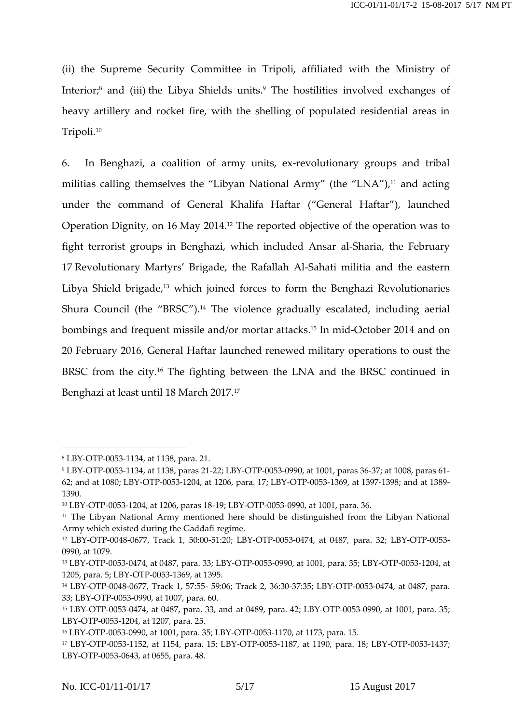(ii) the Supreme Security Committee in Tripoli, affiliated with the Ministry of Interior; <sup>8</sup> and (iii) the Libya Shields units. <sup>9</sup> The hostilities involved exchanges of heavy artillery and rocket fire, with the shelling of populated residential areas in Tripoli.<sup>10</sup>

6. In Benghazi, a coalition of army units, ex-revolutionary groups and tribal militias calling themselves the "Libyan National Army" (the "LNA"), <sup>11</sup> and acting under the command of General Khalifa Haftar ("General Haftar"), launched Operation Dignity, on 16 May 2014.<sup>12</sup> The reported objective of the operation was to fight terrorist groups in Benghazi, which included Ansar al-Sharia, the February 17 Revolutionary Martyrs' Brigade, the Rafallah Al-Sahati militia and the eastern Libya Shield brigade, <sup>13</sup> which joined forces to form the Benghazi Revolutionaries Shura Council (the "BRSC").<sup>14</sup> The violence gradually escalated, including aerial bombings and frequent missile and/or mortar attacks. <sup>15</sup> In mid-October 2014 and on 20 February 2016, General Haftar launched renewed military operations to oust the BRSC from the city.<sup>16</sup> The fighting between the LNA and the BRSC continued in Benghazi at least until 18 March 2017.<sup>17</sup>

<sup>8</sup> LBY-OTP-0053-1134, at 1138, para. 21.

<sup>9</sup> LBY-OTP-0053-1134, at 1138, paras 21-22; LBY-OTP-0053-0990, at 1001, paras 36-37; at 1008, paras 61- 62; and at 1080; LBY-OTP-0053-1204, at 1206, para. 17; LBY-OTP-0053-1369, at 1397-1398; and at 1389- 1390.

<sup>10</sup> LBY-OTP-0053-1204, at 1206, paras 18-19; LBY-OTP-0053-0990, at 1001, para. 36.

<sup>&</sup>lt;sup>11</sup> The Libyan National Army mentioned here should be distinguished from the Libyan National Army which existed during the Gaddafi regime.

<sup>12</sup> LBY-OTP-0048-0677, Track 1, 50:00-51:20; LBY-OTP-0053-0474, at 0487, para. 32; LBY-OTP-0053- 0990, at 1079.

<sup>13</sup> LBY-OTP-0053-0474, at 0487, para. 33; LBY-OTP-0053-0990, at 1001, para. 35; LBY-OTP-0053-1204, at 1205, para. 5; LBY-OTP-0053-1369, at 1395.

<sup>14</sup> LBY-OTP-0048-0677, Track 1, 57:55- 59:06; Track 2, 36:30-37:35; LBY-OTP-0053-0474, at 0487, para. 33; LBY-OTP-0053-0990, at 1007, para. 60.

<sup>15</sup> LBY-OTP-0053-0474, at 0487, para. 33, and at 0489, para. 42; LBY-OTP-0053-0990, at 1001, para. 35; LBY-OTP-0053-1204, at 1207, para. 25.

<sup>16</sup> LBY-OTP-0053-0990, at 1001, para. 35; LBY-OTP-0053-1170, at 1173, para. 15.

<sup>17</sup> LBY-OTP-0053-1152, at 1154, para. 15; LBY-OTP-0053-1187, at 1190, para. 18; LBY-OTP-0053-1437; LBY-OTP-0053-0643, at 0655, para. 48.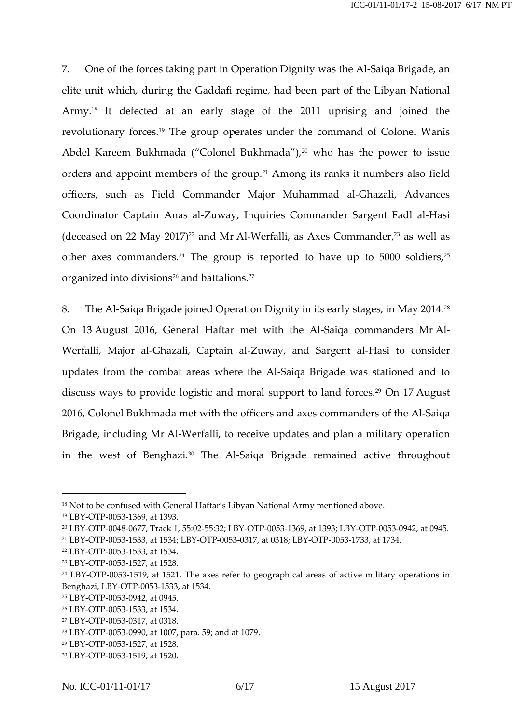7. One of the forces taking part in Operation Dignity was the Al-Saiqa Brigade, an elite unit which, during the Gaddafi regime, had been part of the Libyan National Army. <sup>18</sup> It defected at an early stage of the 2011 uprising and joined the revolutionary forces.<sup>19</sup> The group operates under the command of Colonel Wanis Abdel Kareem Bukhmada ("Colonel Bukhmada"),<sup>20</sup> who has the power to issue orders and appoint members of the group.<sup>21</sup> Among its ranks it numbers also field officers, such as Field Commander Major Muhammad al-Ghazali, Advances Coordinator Captain Anas al-Zuway, Inquiries Commander Sargent Fadl al-Hasi (deceased on 22 May 2017)<sup>22</sup> and Mr Al-Werfalli, as Axes Commander,<sup>23</sup> as well as other axes commanders.<sup>24</sup> The group is reported to have up to 5000 soldiers,<sup>25</sup> organized into divisions $^{26}$  and battalions. $^{27}$ 

8. The Al-Saiqa Brigade joined Operation Dignity in its early stages, in May 2014. 28 On 13 August 2016, General Haftar met with the Al-Saiqa commanders Mr Al-Werfalli, Major al-Ghazali, Captain al-Zuway, and Sargent al-Hasi to consider updates from the combat areas where the Al-Saiqa Brigade was stationed and to discuss ways to provide logistic and moral support to land forces.<sup>29</sup> On 17 August 2016, Colonel Bukhmada met with the officers and axes commanders of the Al-Saiqa Brigade, including Mr Al-Werfalli, to receive updates and plan a military operation in the west of Benghazi. <sup>30</sup> The Al-Saiqa Brigade remained active throughout

<sup>18</sup> Not to be confused with General Haftar's Libyan National Army mentioned above.

<sup>19</sup> LBY-OTP-0053-1369, at 1393.

<sup>20</sup> LBY-OTP-0048-0677, Track 1, 55:02-55:32; LBY-OTP-0053-1369, at 1393; LBY-OTP-0053-0942, at 0945.

<sup>21</sup> LBY-OTP-0053-1533, at 1534; LBY-OTP-0053-0317, at 0318; LBY-OTP-0053-1733, at 1734.

<sup>22</sup> LBY-OTP-0053-1533, at 1534.

<sup>23</sup> LBY-OTP-0053-1527, at 1528.

<sup>24</sup> LBY-OTP-0053-1519, at 1521. The axes refer to geographical areas of active military operations in Benghazi, LBY-OTP-0053-1533, at 1534.

<sup>25</sup> LBY-OTP-0053-0942, at 0945.

<sup>26</sup> LBY-OTP-0053-1533, at 1534.

<sup>27</sup> LBY-OTP-0053-0317, at 0318.

<sup>28</sup> LBY-OTP-0053-0990, at 1007, para. 59; and at 1079.

<sup>29</sup> LBY-OTP-0053-1527, at 1528.

<sup>30</sup> LBY-OTP-0053-1519, at 1520.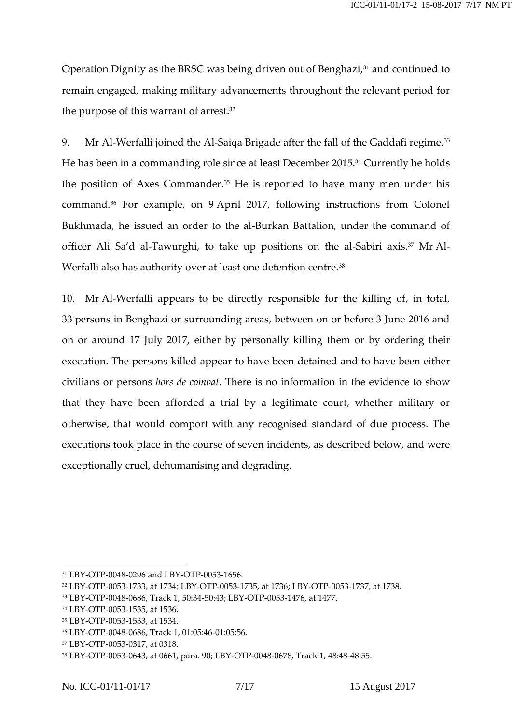Operation Dignity as the BRSC was being driven out of Benghazi, <sup>31</sup> and continued to remain engaged, making military advancements throughout the relevant period for the purpose of this warrant of arrest. 32

9. Mr Al-Werfalli joined the Al-Saiqa Brigade after the fall of the Gaddafi regime. 33 He has been in a commanding role since at least December 2015. <sup>34</sup> Currently he holds the position of Axes Commander.<sup>35</sup> He is reported to have many men under his command. <sup>36</sup> For example, on 9 April 2017, following instructions from Colonel Bukhmada, he issued an order to the al-Burkan Battalion, under the command of officer Ali Sa'd al-Tawurghi, to take up positions on the al-Sabiri axis.<sup>37</sup> Mr Al-Werfalli also has authority over at least one detention centre.<sup>38</sup>

10. Mr Al-Werfalli appears to be directly responsible for the killing of, in total, 33 persons in Benghazi or surrounding areas, between on or before 3 June 2016 and on or around 17 July 2017, either by personally killing them or by ordering their execution. The persons killed appear to have been detained and to have been either civilians or persons *hors de combat*. There is no information in the evidence to show that they have been afforded a trial by a legitimate court, whether military or otherwise, that would comport with any recognised standard of due process. The executions took place in the course of seven incidents, as described below, and were exceptionally cruel, dehumanising and degrading.

<sup>31</sup> LBY-OTP-0048-0296 and LBY-OTP-0053-1656.

<sup>32</sup> LBY-OTP-0053-1733, at 1734; LBY-OTP-0053-1735, at 1736; LBY-OTP-0053-1737, at 1738.

<sup>33</sup> LBY-OTP-0048-0686, Track 1, 50:34-50:43; LBY-OTP-0053-1476, at 1477.

<sup>34</sup> LBY-OTP-0053-1535, at 1536.

<sup>35</sup> LBY-OTP-0053-1533, at 1534.

<sup>36</sup> LBY-OTP-0048-0686, Track 1, 01:05:46-01:05:56.

<sup>37</sup> LBY-OTP-0053-0317, at 0318.

<sup>38</sup> LBY-OTP-0053-0643, at 0661, para. 90; LBY-OTP-0048-0678, Track 1, 48:48-48:55.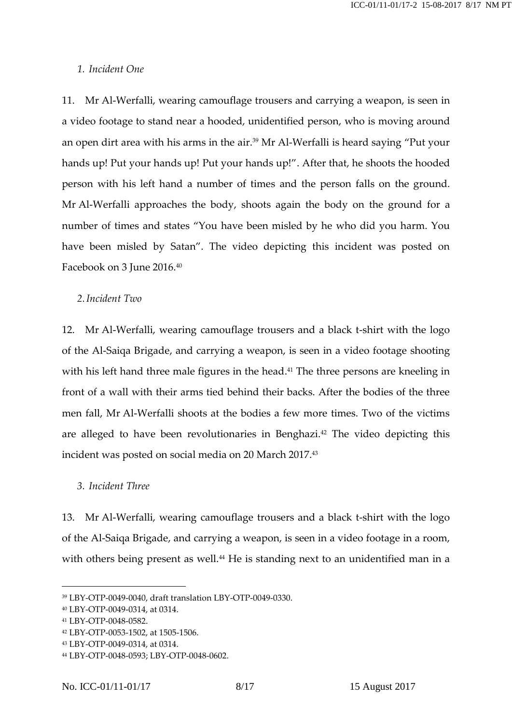#### *1. Incident One*

11. Mr Al-Werfalli, wearing camouflage trousers and carrying a weapon, is seen in a video footage to stand near a hooded, unidentified person, who is moving around an open dirt area with his arms in the air.<sup>39</sup> Mr Al-Werfalli is heard saying "Put your hands up! Put your hands up! Put your hands up!". After that, he shoots the hooded person with his left hand a number of times and the person falls on the ground. Mr Al-Werfalli approaches the body, shoots again the body on the ground for a number of times and states "You have been misled by he who did you harm. You have been misled by Satan". The video depicting this incident was posted on Facebook on 3 June 2016.<sup>40</sup>

### *2.Incident Two*

12. Mr Al-Werfalli, wearing camouflage trousers and a black t-shirt with the logo of the Al-Saiqa Brigade, and carrying a weapon, is seen in a video footage shooting with his left hand three male figures in the head. <sup>41</sup> The three persons are kneeling in front of a wall with their arms tied behind their backs. After the bodies of the three men fall, Mr Al-Werfalli shoots at the bodies a few more times. Two of the victims are alleged to have been revolutionaries in Benghazi. <sup>42</sup> The video depicting this incident was posted on social media on 20 March 2017.<sup>43</sup>

#### *3. Incident Three*

13. Mr Al-Werfalli, wearing camouflage trousers and a black t-shirt with the logo of the Al-Saiqa Brigade, and carrying a weapon, is seen in a video footage in a room, with others being present as well.<sup>44</sup> He is standing next to an unidentified man in a

<sup>39</sup> LBY-OTP-0049-0040, draft translation LBY-OTP-0049-0330.

<sup>40</sup> LBY-OTP-0049-0314, at 0314.

<sup>41</sup> LBY-OTP-0048-0582.

<sup>42</sup> LBY-OTP-0053-1502, at 1505-1506.

<sup>43</sup> LBY-OTP-0049-0314, at 0314.

<sup>44</sup> LBY-OTP-0048-0593; LBY-OTP-0048-0602.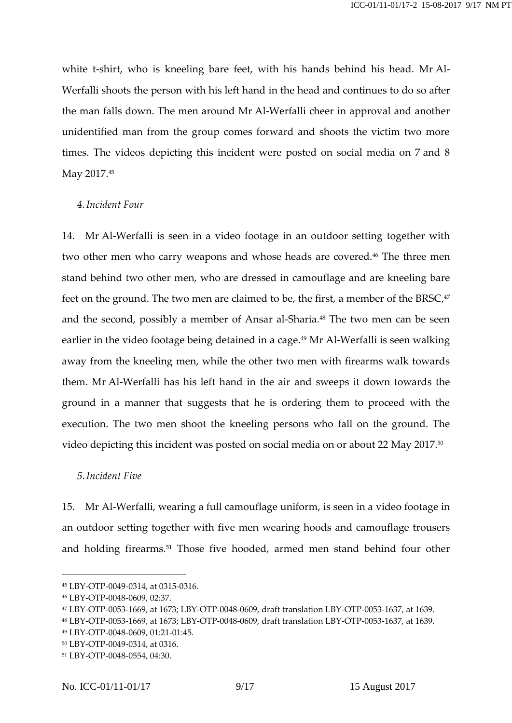white t-shirt, who is kneeling bare feet, with his hands behind his head. Mr Al-Werfalli shoots the person with his left hand in the head and continues to do so after the man falls down. The men around Mr Al-Werfalli cheer in approval and another unidentified man from the group comes forward and shoots the victim two more times. The videos depicting this incident were posted on social media on 7 and 8 May 2017.<sup>45</sup>

## *4.Incident Four*

14. Mr Al-Werfalli is seen in a video footage in an outdoor setting together with two other men who carry weapons and whose heads are covered. <sup>46</sup> The three men stand behind two other men, who are dressed in camouflage and are kneeling bare feet on the ground. The two men are claimed to be, the first, a member of the BRSC,47 and the second, possibly a member of Ansar al-Sharia.<sup>48</sup> The two men can be seen earlier in the video footage being detained in a cage. <sup>49</sup> Mr Al-Werfalli is seen walking away from the kneeling men, while the other two men with firearms walk towards them. Mr Al-Werfalli has his left hand in the air and sweeps it down towards the ground in a manner that suggests that he is ordering them to proceed with the execution. The two men shoot the kneeling persons who fall on the ground. The video depicting this incident was posted on social media on or about 22 May 2017.<sup>50</sup>

### *5.Incident Five*

15. Mr Al-Werfalli, wearing a full camouflage uniform, is seen in a video footage in an outdoor setting together with five men wearing hoods and camouflage trousers and holding firearms. <sup>51</sup> Those five hooded, armed men stand behind four other

<sup>45</sup> LBY-OTP-0049-0314, at 0315-0316.

<sup>46</sup> LBY-OTP-0048-0609, 02:37.

<sup>47</sup> LBY-OTP-0053-1669, at 1673; LBY-OTP-0048-0609, draft translation LBY-OTP-0053-1637, at 1639.

<sup>48</sup> LBY-OTP-0053-1669, at 1673; LBY-OTP-0048-0609, draft translation LBY-OTP-0053-1637, at 1639.

<sup>49</sup> LBY-OTP-0048-0609, 01:21-01:45.

<sup>50</sup> LBY-OTP-0049-0314, at 0316.

<sup>51</sup> LBY-OTP-0048-0554, 04:30.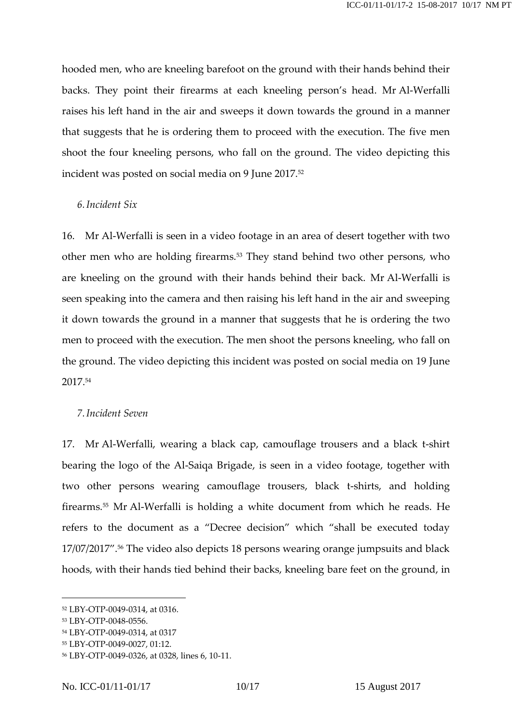hooded men, who are kneeling barefoot on the ground with their hands behind their backs. They point their firearms at each kneeling person's head. Mr Al-Werfalli raises his left hand in the air and sweeps it down towards the ground in a manner that suggests that he is ordering them to proceed with the execution. The five men shoot the four kneeling persons, who fall on the ground. The video depicting this incident was posted on social media on 9 June 2017.<sup>52</sup>

## *6.Incident Six*

16. Mr Al-Werfalli is seen in a video footage in an area of desert together with two other men who are holding firearms.<sup>53</sup> They stand behind two other persons, who are kneeling on the ground with their hands behind their back. Mr Al-Werfalli is seen speaking into the camera and then raising his left hand in the air and sweeping it down towards the ground in a manner that suggests that he is ordering the two men to proceed with the execution. The men shoot the persons kneeling, who fall on the ground. The video depicting this incident was posted on social media on 19 June 2017. 54

#### *7.Incident Seven*

17. Mr Al-Werfalli, wearing a black cap, camouflage trousers and a black t-shirt bearing the logo of the Al-Saiqa Brigade, is seen in a video footage, together with two other persons wearing camouflage trousers, black t-shirts, and holding firearms.<sup>55</sup> Mr Al-Werfalli is holding a white document from which he reads. He refers to the document as a "Decree decision" which "shall be executed today 17/07/2017". <sup>56</sup> The video also depicts 18 persons wearing orange jumpsuits and black hoods, with their hands tied behind their backs, kneeling bare feet on the ground, in

<sup>52</sup> LBY-OTP-0049-0314, at 0316.

<sup>53</sup> LBY-OTP-0048-0556.

<sup>54</sup> LBY-OTP-0049-0314, at 0317

<sup>55</sup> LBY-OTP-0049-0027, 01:12.

<sup>56</sup> LBY-OTP-0049-0326, at 0328, lines 6, 10-11.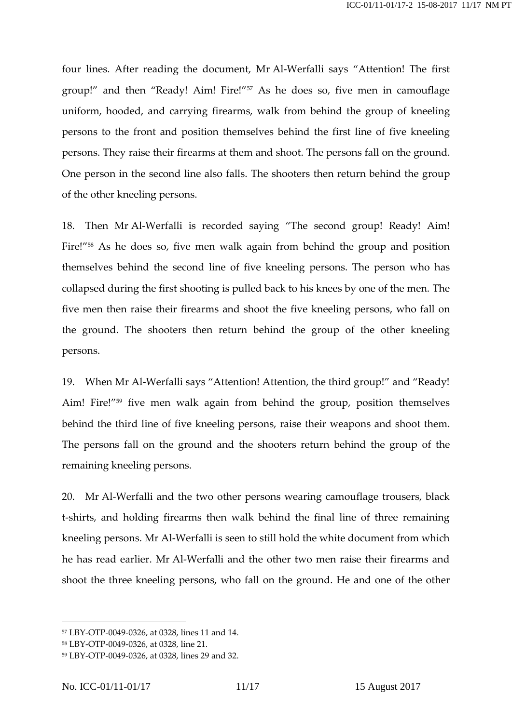four lines. After reading the document, Mr Al-Werfalli says "Attention! The first group!" and then "Ready! Aim! Fire!"<sup>57</sup> As he does so, five men in camouflage uniform, hooded, and carrying firearms, walk from behind the group of kneeling persons to the front and position themselves behind the first line of five kneeling persons. They raise their firearms at them and shoot. The persons fall on the ground. One person in the second line also falls. The shooters then return behind the group of the other kneeling persons.

18. Then Mr Al-Werfalli is recorded saying "The second group! Ready! Aim! Fire!"<sup>58</sup> As he does so, five men walk again from behind the group and position themselves behind the second line of five kneeling persons. The person who has collapsed during the first shooting is pulled back to his knees by one of the men. The five men then raise their firearms and shoot the five kneeling persons, who fall on the ground. The shooters then return behind the group of the other kneeling persons.

19. When Mr Al-Werfalli says "Attention! Attention, the third group!" and "Ready! Aim! Fire!"<sup>59</sup> five men walk again from behind the group, position themselves behind the third line of five kneeling persons, raise their weapons and shoot them. The persons fall on the ground and the shooters return behind the group of the remaining kneeling persons.

20. Mr Al-Werfalli and the two other persons wearing camouflage trousers, black t-shirts, and holding firearms then walk behind the final line of three remaining kneeling persons. Mr Al-Werfalli is seen to still hold the white document from which he has read earlier. Mr Al-Werfalli and the other two men raise their firearms and shoot the three kneeling persons, who fall on the ground. He and one of the other

<sup>57</sup> LBY-OTP-0049-0326, at 0328, lines 11 and 14.

<sup>58</sup> LBY-OTP-0049-0326, at 0328, line 21.

<sup>59</sup> LBY-OTP-0049-0326, at 0328, lines 29 and 32.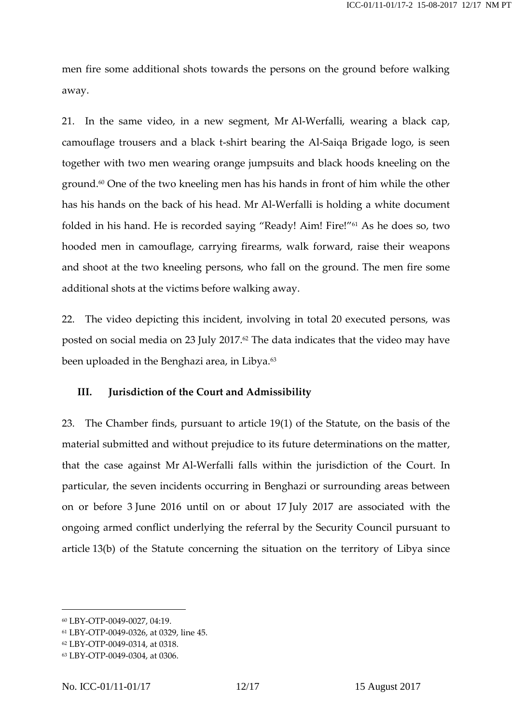men fire some additional shots towards the persons on the ground before walking away.

21. In the same video, in a new segment, Mr Al-Werfalli, wearing a black cap, camouflage trousers and a black t-shirt bearing the Al-Saiqa Brigade logo, is seen together with two men wearing orange jumpsuits and black hoods kneeling on the ground.<sup>60</sup> One of the two kneeling men has his hands in front of him while the other has his hands on the back of his head. Mr Al-Werfalli is holding a white document folded in his hand. He is recorded saying "Ready! Aim! Fire!"<sup>61</sup> As he does so, two hooded men in camouflage, carrying firearms, walk forward, raise their weapons and shoot at the two kneeling persons, who fall on the ground. The men fire some additional shots at the victims before walking away.

22. The video depicting this incident, involving in total 20 executed persons, was posted on social media on 23 July 2017. <sup>62</sup> The data indicates that the video may have been uploaded in the Benghazi area, in Libya.<sup>63</sup>

## **III. Jurisdiction of the Court and Admissibility**

23. The Chamber finds, pursuant to article 19(1) of the Statute, on the basis of the material submitted and without prejudice to its future determinations on the matter, that the case against Mr Al-Werfalli falls within the jurisdiction of the Court. In particular, the seven incidents occurring in Benghazi or surrounding areas between on or before 3 June 2016 until on or about 17 July 2017 are associated with the ongoing armed conflict underlying the referral by the Security Council pursuant to article 13(b) of the Statute concerning the situation on the territory of Libya since

<sup>60</sup> LBY-OTP-0049-0027, 04:19.

<sup>61</sup> LBY-OTP-0049-0326, at 0329, line 45.

<sup>62</sup> LBY-OTP-0049-0314, at 0318.

<sup>63</sup> LBY-OTP-0049-0304, at 0306.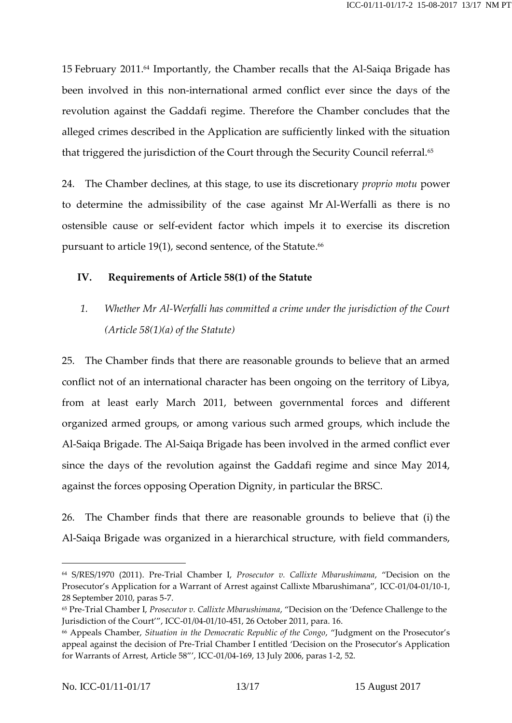15 February 2011. <sup>64</sup> Importantly, the Chamber recalls that the Al-Saiqa Brigade has been involved in this non-international armed conflict ever since the days of the revolution against the Gaddafi regime. Therefore the Chamber concludes that the alleged crimes described in the Application are sufficiently linked with the situation that triggered the jurisdiction of the Court through the Security Council referral.<sup>65</sup>

24. The Chamber declines, at this stage, to use its discretionary *proprio motu* power to determine the admissibility of the case against Mr Al-Werfalli as there is no ostensible cause or self-evident factor which impels it to exercise its discretion pursuant to article 19(1), second sentence, of the Statute. 66

## **IV. Requirements of Article 58(1) of the Statute**

*1. Whether Mr Al-Werfalli has committed a crime under the jurisdiction of the Court (Article 58(1)(a) of the Statute)*

25. The Chamber finds that there are reasonable grounds to believe that an armed conflict not of an international character has been ongoing on the territory of Libya, from at least early March 2011, between governmental forces and different organized armed groups, or among various such armed groups, which include the Al-Saiqa Brigade. The Al-Saiqa Brigade has been involved in the armed conflict ever since the days of the revolution against the Gaddafi regime and since May 2014, against the forces opposing Operation Dignity, in particular the BRSC.

26. The Chamber finds that there are reasonable grounds to believe that (i) the Al-Saiqa Brigade was organized in a hierarchical structure, with field commanders,

<sup>64</sup> S/RES/1970 (2011). Pre-Trial Chamber I, *Prosecutor v. Callixte Mbarushimana*, "Decision on the Prosecutor's Application for a Warrant of Arrest against Callixte Mbarushimana", ICC-01/04-01/10-1, 28 September 2010, paras 5-7.

<sup>65</sup> Pre-Trial Chamber I, *Prosecutor v. Callixte Mbarushimana*, "Decision on the 'Defence Challenge to the Jurisdiction of the Court'", ICC-01/04-01/10-451, 26 October 2011, para. 16.

<sup>66</sup> Appeals Chamber, *Situation in the Democratic Republic of the Congo*, "Judgment on the Prosecutor's appeal against the decision of Pre-Trial Chamber I entitled 'Decision on the Prosecutor's Application for Warrants of Arrest, Article 58"', ICC-01/04-169, 13 July 2006, paras 1-2, 52.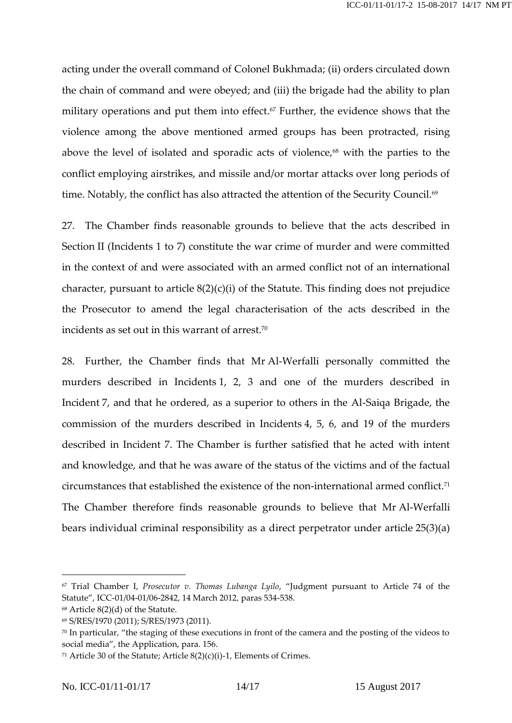acting under the overall command of Colonel Bukhmada; (ii) orders circulated down the chain of command and were obeyed; and (iii) the brigade had the ability to plan military operations and put them into effect. <sup>67</sup> Further, the evidence shows that the violence among the above mentioned armed groups has been protracted, rising above the level of isolated and sporadic acts of violence,<sup>68</sup> with the parties to the conflict employing airstrikes, and missile and/or mortar attacks over long periods of time. Notably, the conflict has also attracted the attention of the Security Council.<sup>69</sup>

27. The Chamber finds reasonable grounds to believe that the acts described in Section II (Incidents 1 to 7) constitute the war crime of murder and were committed in the context of and were associated with an armed conflict not of an international character, pursuant to article 8(2)(c)(i) of the Statute. This finding does not prejudice the Prosecutor to amend the legal characterisation of the acts described in the incidents as set out in this warrant of arrest. $^{70}$ 

28. Further, the Chamber finds that Mr Al-Werfalli personally committed the murders described in Incidents 1, 2, 3 and one of the murders described in Incident 7, and that he ordered, as a superior to others in the Al-Saiqa Brigade, the commission of the murders described in Incidents 4, 5, 6, and 19 of the murders described in Incident 7. The Chamber is further satisfied that he acted with intent and knowledge, and that he was aware of the status of the victims and of the factual circumstances that established the existence of the non-international armed conflict.<sup>71</sup> The Chamber therefore finds reasonable grounds to believe that Mr Al-Werfalli bears individual criminal responsibility as a direct perpetrator under article 25(3)(a)

<sup>67</sup> Trial Chamber I, *Prosecutor v. Thomas Lubanga Lyilo*, "Judgment pursuant to Article 74 of the Statute", ICC-01/04-01/06-2842, 14 March 2012, paras 534-538.

<sup>68</sup> Article 8(2)(d) of the Statute.

<sup>69</sup> S/RES/1970 (2011); S/RES/1973 (2011).

<sup>&</sup>lt;sup>70</sup> In particular, "the staging of these executions in front of the camera and the posting of the videos to social media", the Application, para. 156.

<sup>&</sup>lt;sup>71</sup> Article 30 of the Statute; Article  $8(2)(c)(i)$ -1, Elements of Crimes.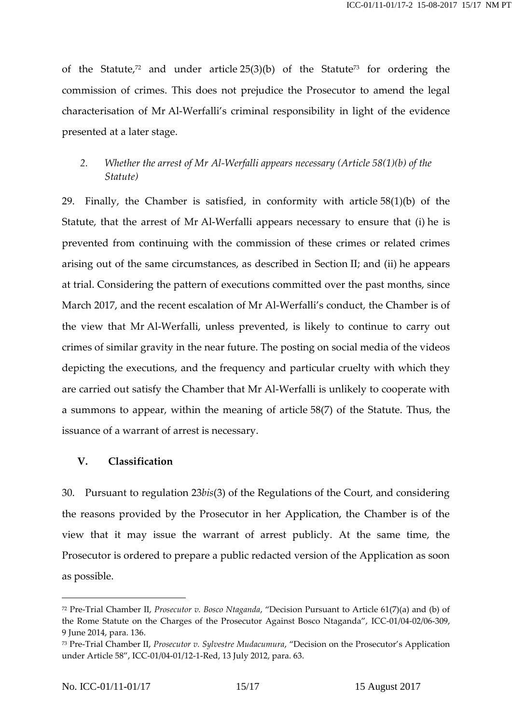of the Statute, <sup>72</sup> and under article 25(3)(b) of the Statute<sup>73</sup> for ordering the commission of crimes. This does not prejudice the Prosecutor to amend the legal characterisation of Mr Al-Werfalli's criminal responsibility in light of the evidence presented at a later stage.

# *2. Whether the arrest of Mr Al-Werfalli appears necessary (Article 58(1)(b) of the Statute)*

29. Finally, the Chamber is satisfied, in conformity with article 58(1)(b) of the Statute, that the arrest of Mr Al-Werfalli appears necessary to ensure that (i) he is prevented from continuing with the commission of these crimes or related crimes arising out of the same circumstances, as described in Section II; and (ii) he appears at trial. Considering the pattern of executions committed over the past months, since March 2017, and the recent escalation of Mr Al-Werfalli's conduct, the Chamber is of the view that Mr Al-Werfalli, unless prevented, is likely to continue to carry out crimes of similar gravity in the near future. The posting on social media of the videos depicting the executions, and the frequency and particular cruelty with which they are carried out satisfy the Chamber that Mr Al-Werfalli is unlikely to cooperate with a summons to appear, within the meaning of article 58(7) of the Statute. Thus, the issuance of a warrant of arrest is necessary.

## **V. Classification**

30. Pursuant to regulation 23*bis*(3) of the Regulations of the Court, and considering the reasons provided by the Prosecutor in her Application, the Chamber is of the view that it may issue the warrant of arrest publicly. At the same time, the Prosecutor is ordered to prepare a public redacted version of the Application as soon as possible.

<sup>72</sup> Pre-Trial Chamber II, *Prosecutor v. Bosco Ntaganda*, "Decision Pursuant to Article 61(7)(a) and (b) of the Rome Statute on the Charges of the Prosecutor Against Bosco Ntaganda", ICC-01/04-02/06-309, 9 June 2014, para. 136.

<sup>73</sup> Pre-Trial Chamber II, *Prosecutor v. Sylvestre Mudacumura*, "Decision on the Prosecutor's Application under Article 58", ICC-01/04-01/12-1-Red, 13 July 2012, para. 63.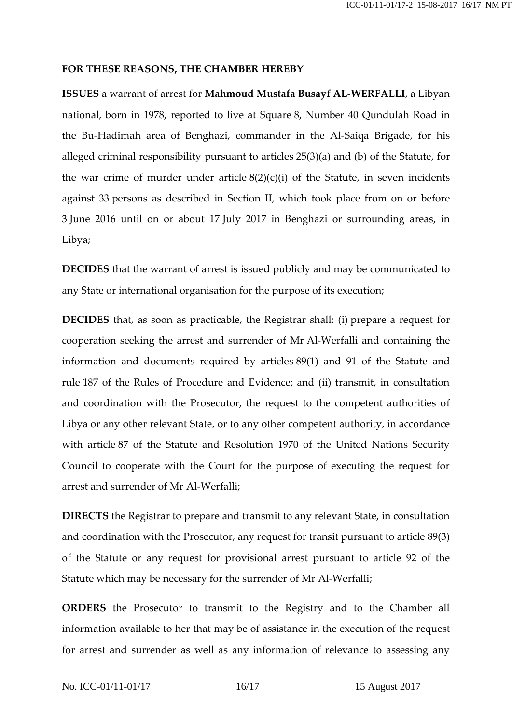#### **FOR THESE REASONS, THE CHAMBER HEREBY**

**ISSUES** a warrant of arrest for **Mahmoud Mustafa Busayf AL-WERFALLI**, a Libyan national, born in 1978, reported to live at Square 8, Number 40 Qundulah Road in the Bu-Hadimah area of Benghazi, commander in the Al-Saiqa Brigade, for his alleged criminal responsibility pursuant to articles 25(3)(a) and (b) of the Statute, for the war crime of murder under article  $8(2)(c)(i)$  of the Statute, in seven incidents against 33 persons as described in Section II, which took place from on or before 3 June 2016 until on or about 17 July 2017 in Benghazi or surrounding areas, in Libya;

**DECIDES** that the warrant of arrest is issued publicly and may be communicated to any State or international organisation for the purpose of its execution;

**DECIDES** that, as soon as practicable, the Registrar shall: (i) prepare a request for cooperation seeking the arrest and surrender of Mr Al-Werfalli and containing the information and documents required by articles 89(1) and 91 of the Statute and rule 187 of the Rules of Procedure and Evidence; and (ii) transmit, in consultation and coordination with the Prosecutor, the request to the competent authorities of Libya or any other relevant State, or to any other competent authority, in accordance with article 87 of the Statute and Resolution 1970 of the United Nations Security Council to cooperate with the Court for the purpose of executing the request for arrest and surrender of Mr Al-Werfalli;

**DIRECTS** the Registrar to prepare and transmit to any relevant State, in consultation and coordination with the Prosecutor, any request for transit pursuant to article 89(3) of the Statute or any request for provisional arrest pursuant to article 92 of the Statute which may be necessary for the surrender of Mr Al-Werfalli;

**ORDERS** the Prosecutor to transmit to the Registry and to the Chamber all information available to her that may be of assistance in the execution of the request for arrest and surrender as well as any information of relevance to assessing any